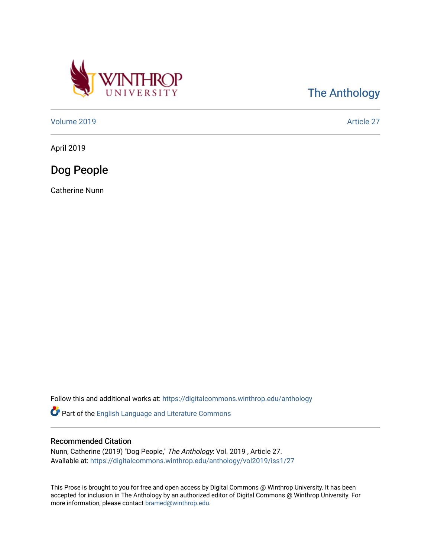

[The Anthology](https://digitalcommons.winthrop.edu/anthology) 

[Volume 2019](https://digitalcommons.winthrop.edu/anthology/vol2019) [Article 27](https://digitalcommons.winthrop.edu/anthology/vol2019/iss1/27) 

April 2019

Dog People

Catherine Nunn

Follow this and additional works at: [https://digitalcommons.winthrop.edu/anthology](https://digitalcommons.winthrop.edu/anthology?utm_source=digitalcommons.winthrop.edu%2Fanthology%2Fvol2019%2Fiss1%2F27&utm_medium=PDF&utm_campaign=PDFCoverPages) 

Part of the [English Language and Literature Commons](http://network.bepress.com/hgg/discipline/455?utm_source=digitalcommons.winthrop.edu%2Fanthology%2Fvol2019%2Fiss1%2F27&utm_medium=PDF&utm_campaign=PDFCoverPages)

## Recommended Citation

Nunn, Catherine (2019) "Dog People," The Anthology: Vol. 2019 , Article 27. Available at: [https://digitalcommons.winthrop.edu/anthology/vol2019/iss1/27](https://digitalcommons.winthrop.edu/anthology/vol2019/iss1/27?utm_source=digitalcommons.winthrop.edu%2Fanthology%2Fvol2019%2Fiss1%2F27&utm_medium=PDF&utm_campaign=PDFCoverPages) 

This Prose is brought to you for free and open access by Digital Commons @ Winthrop University. It has been accepted for inclusion in The Anthology by an authorized editor of Digital Commons @ Winthrop University. For more information, please contact [bramed@winthrop.edu](mailto:bramed@winthrop.edu).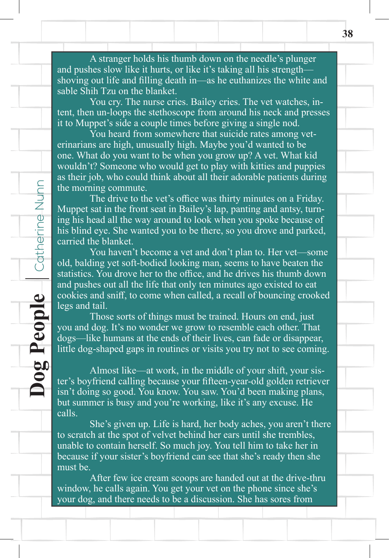A stranger holds his thumb down on the needle's plunger and pushes slow like it hurts, or like it's taking all his strength shoving out life and filling death in—as he euthanizes the white and sable Shih Tzu on the blanket.

 You cry. The nurse cries. Bailey cries. The vet watches, intent, then un-loops the stethoscope from around his neck and presses it to Muppet's side a couple times before giving a single nod.

 You heard from somewhere that suicide rates among veterinarians are high, unusually high. Maybe you'd wanted to be one. What do you want to be when you grow up? A vet. What kid wouldn't? Someone who would get to play with kitties and puppies as their job, who could think about all their adorable patients during the morning commute.

 The drive to the vet's office was thirty minutes on a Friday. Muppet sat in the front seat in Bailey's lap, panting and antsy, turning his head all the way around to look when you spoke because of his blind eye. She wanted you to be there, so you drove and parked, carried the blanket.

 You haven't become a vet and don't plan to. Her vet—some old, balding yet soft-bodied looking man, seems to have beaten the statistics. You drove her to the office, and he drives his thumb down and pushes out all the life that only ten minutes ago existed to eat cookies and sniff, to come when called, a recall of bouncing crooked legs and tail.

**Dog People** Catherine Nunn

People

50 Č

Catherine Nunn

 Those sorts of things must be trained. Hours on end, just you and dog. It's no wonder we grow to resemble each other. That dogs—like humans at the ends of their lives, can fade or disappear, little dog-shaped gaps in routines or visits you try not to see coming.

 Almost like—at work, in the middle of your shift, your sister's boyfriend calling because your fifteen-year-old golden retriever isn't doing so good. You know. You saw. You'd been making plans, but summer is busy and you're working, like it's any excuse. He calls.

 She's given up. Life is hard, her body aches, you aren't there to scratch at the spot of velvet behind her ears until she trembles, unable to contain herself. So much joy. You tell him to take her in because if your sister's boyfriend can see that she's ready then she must be.

 After few ice cream scoops are handed out at the drive-thru window, he calls again. You get your vet on the phone since she's your dog, and there needs to be a discussion. She has sores from

Art Editor's Choice **<sup>38</sup>**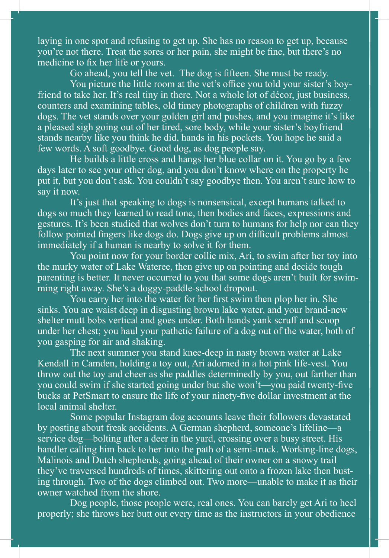**<sup>39</sup>**laying in one spot and refusing to get up. She has no reason to get up, because you're not there. Treat the sores or her pain, she might be fine, but there's no medicine to fix her life or yours.

 Go ahead, you tell the vet. The dog is fifteen. She must be ready.

 You picture the little room at the vet's office you told your sister's boyfriend to take her. It's real tiny in there. Not a whole lot of décor, just business, counters and examining tables, old timey photographs of children with fuzzy dogs. The vet stands over your golden girl and pushes, and you imagine it's like a pleased sigh going out of her tired, sore body, while your sister's boyfriend stands nearby like you think he did, hands in his pockets. You hope he said a few words. A soft goodbye. Good dog, as dog people say.

 He builds a little cross and hangs her blue collar on it. You go by a few days later to see your other dog, and you don't know where on the property he put it, but you don't ask. You couldn't say goodbye then. You aren't sure how to say it now.

 It's just that speaking to dogs is nonsensical, except humans talked to dogs so much they learned to read tone, then bodies and faces, expressions and gestures. It's been studied that wolves don't turn to humans for help nor can they follow pointed fingers like dogs do. Dogs give up on difficult problems almost immediately if a human is nearby to solve it for them.

 You point now for your border collie mix, Ari, to swim after her toy into the murky water of Lake Wateree, then give up on pointing and decide tough parenting is better. It never occurred to you that some dogs aren't built for swimming right away. She's a doggy-paddle-school dropout.

 You carry her into the water for her first swim then plop her in. She sinks. You are waist deep in disgusting brown lake water, and your brand-new shelter mutt bobs vertical and goes under. Both hands yank scruff and scoop under her chest; you haul your pathetic failure of a dog out of the water, both of you gasping for air and shaking.

 The next summer you stand knee-deep in nasty brown water at Lake Kendall in Camden, holding a toy out, Ari adorned in a hot pink life-vest. You throw out the toy and cheer as she paddles determinedly by you, out farther than you could swim if she started going under but she won't—you paid twenty-five bucks at PetSmart to ensure the life of your ninety-five dollar investment at the local animal shelter.

 Some popular Instagram dog accounts leave their followers devastated by posting about freak accidents. A German shepherd, someone's lifeline—a service dog—bolting after a deer in the yard, crossing over a busy street. His handler calling him back to her into the path of a semi-truck. Working-line dogs, Malinois and Dutch shepherds, going ahead of their owner on a snowy trail they've traversed hundreds of times, skittering out onto a frozen lake then busting through. Two of the dogs climbed out. Two more—unable to make it as their owner watched from the shore.

 Dog people, those people were, real ones. You can barely get Ari to heel properly; she throws her butt out every time as the instructors in your obedience